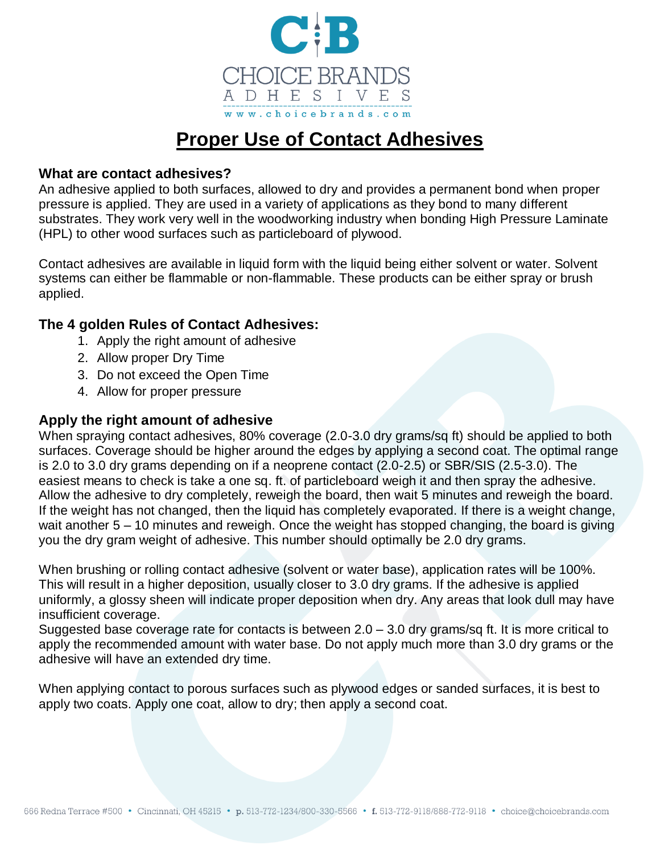

# **Proper Use of Contact Adhesives**

#### **What are contact adhesives?**

An adhesive applied to both surfaces, allowed to dry and provides a permanent bond when proper pressure is applied. They are used in a variety of applications as they bond to many different substrates. They work very well in the woodworking industry when bonding High Pressure Laminate (HPL) to other wood surfaces such as particleboard of plywood.

Contact adhesives are available in liquid form with the liquid being either solvent or water. Solvent systems can either be flammable or non-flammable. These products can be either spray or brush applied.

#### **The 4 golden Rules of Contact Adhesives:**

- 1. Apply the right amount of adhesive
- 2. Allow proper Dry Time
- 3. Do not exceed the Open Time
- 4. Allow for proper pressure

### **Apply the right amount of adhesive**

When spraying contact adhesives, 80% coverage (2.0-3.0 dry grams/sq ft) should be applied to both surfaces. Coverage should be higher around the edges by applying a second coat. The optimal range is 2.0 to 3.0 dry grams depending on if a neoprene contact (2.0-2.5) or SBR/SIS (2.5-3.0). The easiest means to check is take a one sq. ft. of particleboard weigh it and then spray the adhesive. Allow the adhesive to dry completely, reweigh the board, then wait 5 minutes and reweigh the board. If the weight has not changed, then the liquid has completely evaporated. If there is a weight change, wait another 5 – 10 minutes and reweigh. Once the weight has stopped changing, the board is giving you the dry gram weight of adhesive. This number should optimally be 2.0 dry grams.

When brushing or rolling contact adhesive (solvent or water base), application rates will be 100%. This will result in a higher deposition, usually closer to 3.0 dry grams. If the adhesive is applied uniformly, a glossy sheen will indicate proper deposition when dry. Any areas that look dull may have insufficient coverage.

Suggested base coverage rate for contacts is between 2.0 – 3.0 dry grams/sq ft. It is more critical to apply the recommended amount with water base. Do not apply much more than 3.0 dry grams or the adhesive will have an extended dry time.

When applying contact to porous surfaces such as plywood edges or sanded surfaces, it is best to apply two coats. Apply one coat, allow to dry; then apply a second coat.